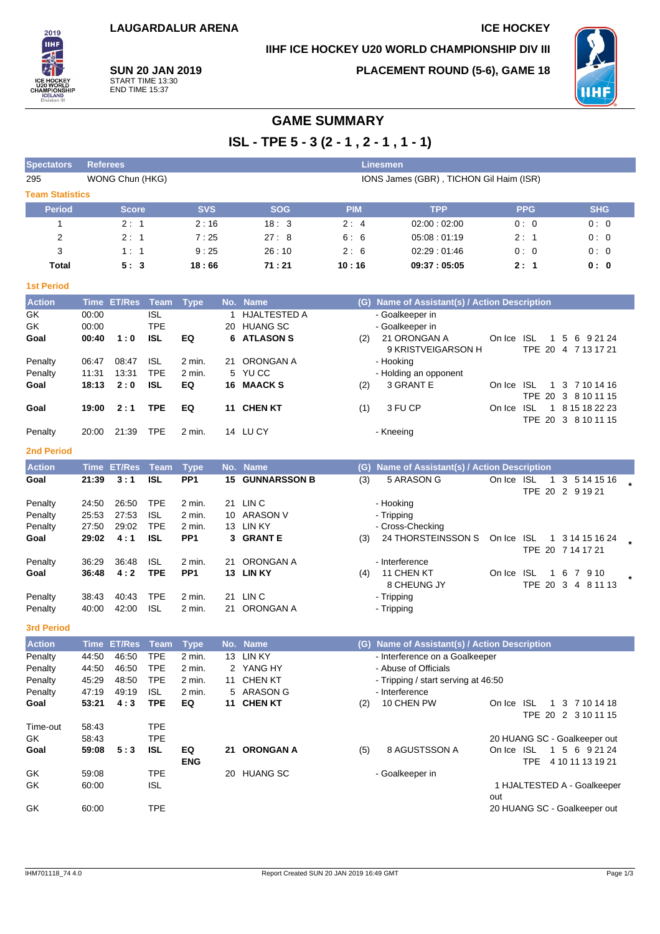# **IIHF ICE HOCKEY U20 WORLD CHAMPIONSHIP DIV III**



**SUN 20 JAN 2019** START TIME 13:30 END TIME 15:37

**PLACEMENT ROUND (5-6), GAME 18**



# **GAME SUMMARY**

**ISL - TPE 5 - 3 (2 - 1 , 2 - 1 , 1 - 1)**

| <b>Spectators</b>      | <b>Referees</b><br><b>Linesmen</b> |                      |                           |                                |              |                     |            |                                                         |                              |                                       |
|------------------------|------------------------------------|----------------------|---------------------------|--------------------------------|--------------|---------------------|------------|---------------------------------------------------------|------------------------------|---------------------------------------|
| 295                    |                                    | WONG Chun (HKG)      |                           |                                |              |                     |            | IONS James (GBR), TICHON Gil Haim (ISR)                 |                              |                                       |
| <b>Team Statistics</b> |                                    |                      |                           |                                |              |                     |            |                                                         |                              |                                       |
| <b>Period</b>          |                                    | <b>Score</b>         |                           | <b>SVS</b>                     |              | <b>SOG</b>          | <b>PIM</b> | <b>TPP</b>                                              | <b>PPG</b>                   | <b>SHG</b>                            |
| 1                      |                                    | 2:1                  |                           | 2:16                           |              | 18:3                | 2:4        | 02:00:02:00                                             | 0:0                          | 0:0                                   |
| 2                      |                                    | 2:1                  |                           | 7:25                           |              | 27:8                | 6:6        | 05:08:01:19                                             | 2:1                          | 0:0                                   |
| 3                      |                                    | 1:1                  |                           | 9:25                           |              | 26:10               | 2:6        | 02:29:01:46                                             | 0:0                          | 0:0                                   |
| <b>Total</b>           |                                    | 5:3                  |                           | 18:66                          |              | 71:21               | 10:16      | 09:37:05:05                                             | 2:1                          | 0: 0                                  |
| <b>1st Period</b>      |                                    |                      |                           |                                |              |                     |            |                                                         |                              |                                       |
| <b>Action</b>          |                                    | Time ET/Res          | Team                      | <b>Type</b>                    |              | No. Name            |            | (G) Name of Assistant(s) / Action Description           |                              |                                       |
| GK                     | 00:00                              |                      | <b>ISL</b>                |                                | $\mathbf{1}$ | <b>HJALTESTED A</b> |            | - Goalkeeper in                                         |                              |                                       |
| GK                     | 00:00                              |                      | <b>TPE</b>                |                                |              | 20 HUANG SC         |            | - Goalkeeper in                                         |                              |                                       |
| Goal                   | 00:40                              | 1:0                  | <b>ISL</b>                | EQ                             |              | 6 ATLASON S         | (2)        | 21 ORONGAN A<br>9 KRISTVEIGARSON H                      | On Ice ISL<br>$\mathbf{1}$   | 5 6 9 21 24<br>TPE 20 4 7 13 17 21    |
| Penalty                | 06:47                              | 08:47                | <b>ISL</b>                | 2 min.                         | 21           | <b>ORONGAN A</b>    |            | - Hooking                                               |                              |                                       |
| Penalty                | 11:31                              | 13:31                | <b>TPE</b>                | 2 min.                         |              | 5 YU CC             |            | - Holding an opponent                                   |                              |                                       |
| Goal                   | 18:13                              | 2:0                  | <b>ISL</b>                | EQ                             |              | 16 MAACK S          | (2)        | 3 GRANT E                                               | On Ice ISL                   | 1 3 7 10 14 16<br>TPE 20 3 8 10 11 15 |
| Goal                   | 19:00                              | 2:1                  | <b>TPE</b>                | EQ                             |              | 11 CHEN KT          | (1)        | 3 FU CP                                                 | On Ice ISL                   | 1 8 15 18 22 23                       |
| Penalty                | 20:00                              | 21:39                | <b>TPE</b>                | 2 min.                         |              | 14 LUCY             |            | - Kneeing                                               |                              | TPE 20 3 8 10 11 15                   |
| <b>2nd Period</b>      |                                    |                      |                           |                                |              |                     |            |                                                         |                              |                                       |
|                        |                                    |                      |                           |                                | No.          | <b>Name</b>         |            |                                                         |                              |                                       |
| <b>Action</b><br>Goal  | <b>Time</b><br>21:39               | <b>ET/Res</b><br>3:1 | <b>Team</b><br><b>ISL</b> | <b>Type</b><br>PP <sub>1</sub> | 15           | <b>GUNNARSSON B</b> | (G)<br>(3) | Name of Assistant(s) / Action Description<br>5 ARASON G | On Ice ISL                   | 1 3 5 14 15 16                        |
|                        |                                    |                      |                           |                                |              |                     |            |                                                         |                              | TPE 20 2 9 19 21                      |
| Penalty                | 24:50                              | 26:50                | <b>TPE</b>                | 2 min.                         | 21           | LIN <sub>C</sub>    |            | - Hooking                                               |                              |                                       |
| Penalty                | 25:53                              | 27:53                | <b>ISL</b>                | 2 min.                         |              | 10 ARASON V         |            | - Tripping                                              |                              |                                       |
| Penalty                | 27:50                              | 29:02                | <b>TPE</b>                | 2 min.                         |              | 13 LIN KY           |            | - Cross-Checking                                        |                              |                                       |
| Goal                   | 29:02                              | 4:1                  | ISL                       | PP <sub>1</sub>                |              | 3 GRANTE            | (3)        | 24 THORSTEINSSON S                                      | On Ice ISL                   | 1 3 14 15 16 24<br>TPE 20 7 14 17 21  |
| Penalty                | 36:29                              | 36:48                | <b>ISL</b>                | 2 min.                         | 21           | ORONGAN A           |            | - Interference                                          |                              |                                       |
| Goal                   | 36:48                              | 4:2                  | <b>TPE</b>                | PP <sub>1</sub>                |              | 13 LIN KY           | (4)        | 11 CHEN KT                                              | On Ice ISL                   | 1 6 7 9 10                            |
|                        |                                    |                      |                           |                                |              |                     |            | 8 CHEUNG JY                                             |                              | TPE 20 3 4 8 11 13                    |
| Penalty                | 38:43                              | 40:43                | <b>TPE</b>                | 2 min.                         | 21           | LIN <sub>C</sub>    |            | - Tripping                                              |                              |                                       |
| Penalty                | 40:00                              | 42:00                | <b>ISL</b>                | 2 min.                         | 21           | ORONGAN A           |            | - Tripping                                              |                              |                                       |
| <b>3rd Period</b>      |                                    |                      |                           |                                |              |                     |            |                                                         |                              |                                       |
| <b>Action</b>          |                                    | Time ET/Res Team     |                           | <b>Type</b>                    |              | No. Name            |            | (G) Name of Assistant(s) / Action Description           |                              |                                       |
| Penalty                | 44.50                              | 46.50                | TPE                       | 2 min.                         |              | 13 LIN KY           |            | - Interference on a Goalkeeper                          |                              |                                       |
| Penalty                | 44:50                              | 46:50                | <b>TPE</b>                | 2 min.                         |              | 2 YANG HY           |            | - Abuse of Officials                                    |                              |                                       |
| Penalty                | 45:29                              | 48:50                | <b>TPE</b>                | 2 min.                         |              | 11 CHEN KT          |            | - Tripping / start serving at 46:50                     |                              |                                       |
| Penalty                | 47:19                              | 49:19                | <b>ISL</b>                | 2 min.                         |              | 5 ARASON G          |            | - Interference                                          |                              |                                       |
| Goal                   | 53:21                              | 4:3                  | <b>TPE</b>                | EQ                             |              | 11 CHEN KT          | (2)        | 10 CHEN PW                                              | On Ice ISL                   | 1 3 7 10 14 18<br>TPE 20 2 3 10 11 15 |
| Time-out               | 58:43                              |                      | <b>TPE</b>                |                                |              |                     |            |                                                         |                              |                                       |
| GK                     | 58:43                              |                      | <b>TPE</b>                |                                |              |                     |            |                                                         | 20 HUANG SC - Goalkeeper out |                                       |
| Goal                   | 59:08                              | 5:3                  | <b>ISL</b>                | EQ                             |              | 21 ORONGAN A        | (5)        | 8 AGUSTSSON A                                           | On Ice ISL                   | 1 5 6 9 21 24                         |
|                        |                                    |                      |                           | <b>ENG</b>                     |              |                     |            |                                                         |                              | TPE 4 10 11 13 19 21                  |
| GK                     | 59:08                              |                      | <b>TPE</b>                |                                |              | 20 HUANG SC         |            | - Goalkeeper in                                         |                              |                                       |
| GK                     | 60:00                              |                      | <b>ISL</b>                |                                |              |                     |            |                                                         | 1 HJALTESTED A - Goalkeeper  |                                       |
|                        |                                    |                      |                           |                                |              |                     |            |                                                         | out                          |                                       |
| GK                     | 60:00                              |                      | <b>TPE</b>                |                                |              |                     |            |                                                         | 20 HUANG SC - Goalkeeper out |                                       |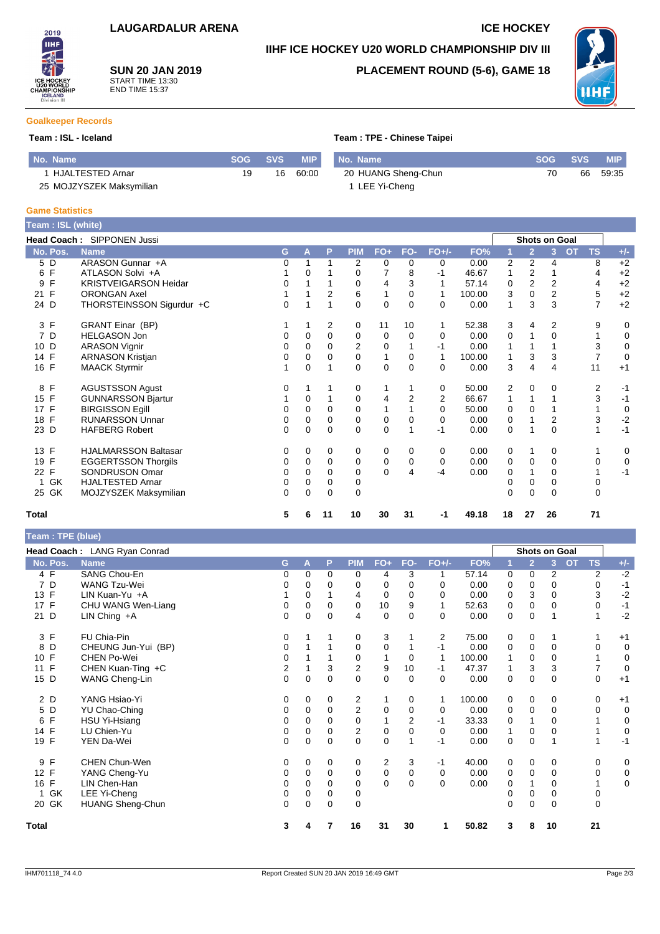### **IIHF ICE HOCKEY U20 WORLD CHAMPIONSHIP DIV III**

**SUN 20 JAN 2019** START TIME 13:30 END TIME 15:37

## **PLACEMENT ROUND (5-6), GAME 18**



#### **Goalkeeper Records**

2019 **THE** 

#### **Team : ISL - Iceland Team : TPE - Chinese Taipei**

| No. Name                 | <b>SOG SVS</b> |    | <b>MIP</b> | I No. Name          | SOG SVS | <b>MIP</b> |
|--------------------------|----------------|----|------------|---------------------|---------|------------|
| HJALTESTED Arnar         | 19             | 16 | 60:00      | 20 HUANG Sheng-Chun | 70      | 66 59:35   |
| 25 MOJZYSZEK Maksymilian |                |    |            | 1 LEE Yi-Cheng      |         |            |

#### **Game Statistics**

| Team: ISL (white) |                              |   |          |          |            |             |                |             |        |          |                      |                |                        |             |
|-------------------|------------------------------|---|----------|----------|------------|-------------|----------------|-------------|--------|----------|----------------------|----------------|------------------------|-------------|
|                   | Head Coach: SIPPONEN Jussi   |   |          |          |            |             |                |             |        |          | <b>Shots on Goal</b> |                |                        |             |
| No. Pos.          | <b>Name</b>                  | G | A        | P        | <b>PIM</b> | $FO+$       | FO-            | $FO+/-$     | FO%    |          | $\overline{2}$       | $\overline{3}$ | <b>TS</b><br><b>OT</b> | $+/-$       |
| 5 D               | ARASON Gunnar +A             | 0 |          |          | 2          | 0           | $\mathbf 0$    | 0           | 0.00   | 2        | 2                    | 4              | 8                      | $+2$        |
| F<br>6            | ATLASON Solvi +A             |   | 0        |          | 0          |             | 8              | $-1$        | 46.67  | 1        | 2                    |                | 4                      | $+2$        |
| F<br>9            | <b>KRISTVEIGARSON Heidar</b> | 0 |          |          | 0          | 4           | 3              |             | 57.14  | 0        | $\overline{2}$       | $\overline{2}$ | 4                      | $+2$        |
| F<br>21           | <b>ORONGAN Axel</b>          |   |          | 2        | 6          |             | 0              | 1           | 100.00 | 3        | 0                    | 2              | 5                      | $+2$        |
| 24 D              | THORSTEINSSON Sigurdur +C    | 0 |          |          | $\Omega$   | $\Omega$    | $\Omega$       | 0           | 0.00   | 1        | 3                    | 3              | 7                      | $+2$        |
| 3 F               | <b>GRANT Einar (BP)</b>      |   |          | 2        | 0          | 11          | 10             | 1           | 52.38  | 3        | 4                    | 2              | 9                      | 0           |
| 7 D               | <b>HELGASON Jon</b>          | 0 | 0        | $\Omega$ | 0          | 0           | 0              | 0           | 0.00   | 0        |                      | 0              |                        | 0           |
| D<br>10           | <b>ARASON Vignir</b>         | 0 | 0        | 0        | 2          | 0           |                | -1          | 0.00   | 1        |                      |                | 3                      | $\mathbf 0$ |
| 14 F              | <b>ARNASON Kristjan</b>      | 0 | $\Omega$ | $\Omega$ | 0          | 1           | 0              | 1           | 100.00 | 1        | 3                    | 3              | $\overline{7}$         | $\mathbf 0$ |
| 16 F              | <b>MAACK Styrmir</b>         |   | $\Omega$ |          | $\Omega$   | $\mathbf 0$ | $\mathbf{0}$   | $\Omega$    | 0.00   | 3        | 4                    | 4              | 11                     | $+1$        |
| $\mathsf{F}$<br>8 | <b>AGUSTSSON Agust</b>       | 0 |          |          | 0          |             |                | 0           | 50.00  | 2        | 0                    | 0              | 2                      | $-1$        |
| 15 F              | <b>GUNNARSSON Bjartur</b>    |   | 0        |          | 0          | 4           | $\overline{2}$ | 2           | 66.67  | 1        |                      |                | 3                      | $-1$        |
| 17 F              | <b>BIRGISSON Egill</b>       | 0 | $\Omega$ | 0        | 0          |             |                | $\Omega$    | 50.00  | 0        | $\Omega$             |                |                        | 0           |
| F<br>18           | <b>RUNARSSON Unnar</b>       | 0 | $\Omega$ | $\Omega$ | 0          | $\mathbf 0$ | 0              | $\mathbf 0$ | 0.00   | 0        |                      | $\overline{2}$ | 3                      | $-2$        |
| 23 D              | <b>HAFBERG Robert</b>        | 0 | $\Omega$ | 0        | $\Omega$   | 0           |                | -1          | 0.00   | 0        |                      | 0              |                        | $-1$        |
| F<br>13           | <b>HJALMARSSON Baltasar</b>  | 0 | 0        | 0        | 0          | 0           | 0              | 0           | 0.00   | 0        | 1                    | 0              |                        | 0           |
| F<br>19           | <b>EGGERTSSON Thorgils</b>   | 0 | $\Omega$ | 0        | 0          | $\mathbf 0$ | 0              | 0           | 0.00   | 0        | $\mathbf 0$          | 0              | 0                      | $\mathbf 0$ |
| F<br>22           | SONDRUSON Omar               | 0 | 0        | 0        | 0          | $\Omega$    | 4              | $-4$        | 0.00   | 0        |                      | 0              |                        | $-1$        |
| GK                | <b>HJALTESTED Arnar</b>      | 0 | $\Omega$ | 0        | 0          |             |                |             |        |          | 0                    | 0              | 0                      |             |
| 25 GK             | MOJZYSZEK Maksymilian        | 0 | $\Omega$ | 0        | 0          |             |                |             |        | $\Omega$ | $\Omega$             | 0              | 0                      |             |
| <b>Total</b>      |                              | 5 | 6        | 11       | 10         | 30          | 31             | -1          | 49.18  | 18       | 27                   | 26             | 71                     |             |

| Team : TPE (blue)  |                              |          |          |                |                |                |                |                |        |             |                |               |           |             |             |
|--------------------|------------------------------|----------|----------|----------------|----------------|----------------|----------------|----------------|--------|-------------|----------------|---------------|-----------|-------------|-------------|
|                    | Head Coach: LANG Ryan Conrad |          |          |                |                |                |                |                |        |             |                | Shots on Goal |           |             |             |
| No. Pos.           | <b>Name</b>                  | G        | A        | P              | <b>PIM</b>     | $FO+$          | FO-            | $FO+/-$        | FO%    |             | $\overline{2}$ | 3             | <b>OT</b> | <b>TS</b>   | $+/-$       |
| 4 F                | <b>SANG Chou-En</b>          | 0        | $\Omega$ | $\Omega$       | 0              | 4              | 3              |                | 57.14  | 0           | 0              | 2             |           | 2           | $-2$        |
| 7 D                | <b>WANG Tzu-Wei</b>          | 0        | 0        | 0              | 0              | 0              | 0              | 0              | 0.00   | 0           | 0              | 0             |           | 0           | $-1$        |
| 13 F               | LIN Kuan-Yu +A               |          | 0        |                | 4              | 0              | 0              | 0              | 0.00   | 0           | 3              | 0             |           | 3           | $-2$        |
| $\mathsf{F}$<br>17 | CHU WANG Wen-Liang           | 0        | $\Omega$ | $\Omega$       | 0              | 10             | 9              |                | 52.63  | 0           | $\Omega$       | 0             |           | $\Omega$    | $-1$        |
| D<br>21            | LIN Ching +A                 | 0        | 0        | 0              | 4              | $\mathbf 0$    | $\Omega$       | 0              | 0.00   | $\mathbf 0$ | 0              |               |           |             | $-2$        |
| 3 F                | FU Chia-Pin                  | 0        |          |                | 0              | 3              |                | $\overline{2}$ | 75.00  | 0           | 0              |               |           |             | $+1$        |
| D<br>8             | CHEUNG Jun-Yui (BP)          | 0        |          |                | 0              | 0              |                | -1             | 0.00   | 0           | 0              | 0             |           | 0           | 0           |
| F<br>10            | <b>CHEN Po-Wei</b>           | 0        |          |                | 0              |                | 0              |                | 100.00 |             | 0              | 0             |           |             | 0           |
| F<br>11            | CHEN Kuan-Ting +C            | 2        |          | 3              | $\overline{2}$ | 9              | 10             | $-1$           | 47.37  |             | 3              | 3             |           | 7           | $\mathbf 0$ |
| D<br>15            | WANG Cheng-Lin               | $\Omega$ | $\Omega$ | $\overline{0}$ | $\Omega$       | 0              | $\Omega$       | $\Omega$       | 0.00   | 0           | 0              | $\mathbf{0}$  |           | $\mathbf 0$ | $+1$        |
| 2 D                | YANG Hsiao-Yi                | 0        | 0        | 0              | 2              |                | 0              | 1              | 100.00 | 0           | 0              | 0             |           | 0           | $+1$        |
| D<br>5             | YU Chao-Ching                | 0        | $\Omega$ | 0              | 2              | 0              | $\Omega$       | 0              | 0.00   | 0           | 0              | 0             |           | 0           | $\mathbf 0$ |
| F<br>6             | HSU Yi-Hsiang                | 0        | $\Omega$ | 0              | 0              |                | $\overline{2}$ | $-1$           | 33.33  | 0           |                | 0             |           |             | 0           |
| 14 F               | LU Chien-Yu                  | 0        | 0        | 0              | 2              | 0              | 0              | 0              | 0.00   |             | 0              | 0             |           |             | 0           |
| 19 F               | YEN Da-Wei                   | 0        | $\Omega$ | $\Omega$       | $\Omega$       | $\Omega$       |                | $-1$           | 0.00   | $\mathbf 0$ | $\Omega$       |               |           |             | $-1$        |
| F<br>9             | CHEN Chun-Wen                | 0        | 0        | 0              | 0              | $\overline{2}$ | 3              | $-1$           | 40.00  | 0           | 0              | 0             |           | 0           | 0           |
| F<br>12            | YANG Cheng-Yu                | 0        | 0        | 0              | 0              | $\mathbf 0$    | $\mathbf 0$    | 0              | 0.00   | 0           | 0              | $\mathbf 0$   |           | 0           | 0           |
| $\mathsf{F}$<br>16 | LIN Chen-Han                 | 0        | $\Omega$ | 0              | $\Omega$       | $\overline{0}$ | $\Omega$       | $\Omega$       | 0.00   | $\Omega$    |                | 0             |           |             | 0           |
| GK                 | LEE Yi-Cheng                 | 0        | $\Omega$ | 0              | 0              |                |                |                |        | 0           | 0              | 0             |           | 0           |             |
| 20 GK              | <b>HUANG Sheng-Chun</b>      | 0        | 0        | 0              | 0              |                |                |                |        | 0           | 0              | $\Omega$      |           | 0           |             |
| <b>Total</b>       |                              | 3        | 4        |                | 16             | 31             | 30             |                | 50.82  | 3           | 8              | 10            |           | 21          |             |